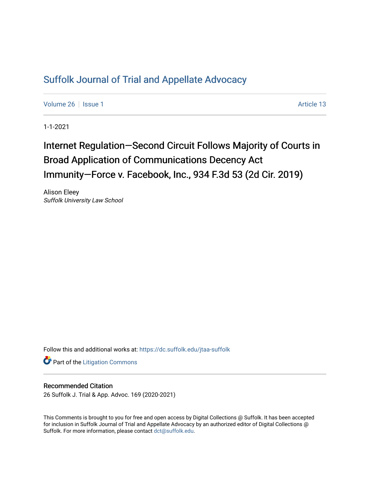## [Suffolk Journal of Trial and Appellate Advocacy](https://dc.suffolk.edu/jtaa-suffolk)

[Volume 26](https://dc.suffolk.edu/jtaa-suffolk/vol26) | [Issue 1](https://dc.suffolk.edu/jtaa-suffolk/vol26/iss1) Article 13

1-1-2021

# Internet Regulation—Second Circuit Follows Majority of Courts in Broad Application of Communications Decency Act Immunity-Force v. Facebook, Inc., 934 F.3d 53 (2d Cir. 2019)

Alison Eleey Suffolk University Law School

Follow this and additional works at: [https://dc.suffolk.edu/jtaa-suffolk](https://dc.suffolk.edu/jtaa-suffolk?utm_source=dc.suffolk.edu%2Fjtaa-suffolk%2Fvol26%2Fiss1%2F13&utm_medium=PDF&utm_campaign=PDFCoverPages) 

**Part of the [Litigation Commons](https://network.bepress.com/hgg/discipline/910?utm_source=dc.suffolk.edu%2Fjtaa-suffolk%2Fvol26%2Fiss1%2F13&utm_medium=PDF&utm_campaign=PDFCoverPages)** 

### Recommended Citation

26 Suffolk J. Trial & App. Advoc. 169 (2020-2021)

This Comments is brought to you for free and open access by Digital Collections @ Suffolk. It has been accepted for inclusion in Suffolk Journal of Trial and Appellate Advocacy by an authorized editor of Digital Collections @ Suffolk. For more information, please contact [dct@suffolk.edu.](mailto:dct@suffolk.edu)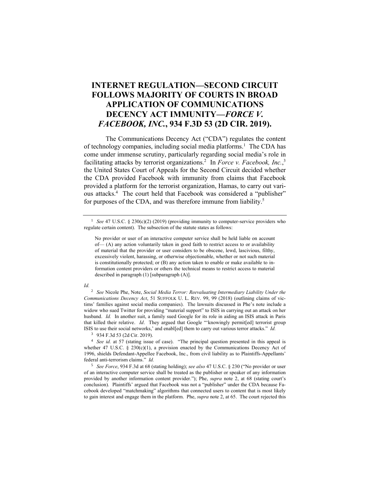## **INTERNET REGULATION—SECOND CIRCUIT FOLLOWS MAJORITY OF COURTS IN BROAD APPLICATION OF COMMUNICATIONS DECENCY ACT IMMUNITY—***FORCE V. FACEBOOK, INC.***, 934 F.3D 53 (2D CIR. 2019).**

The Communications Decency Act ("CDA") regulates the content of technology companies, including social media platforms.<sup>1</sup> The CDA has come under immense scrutiny, particularly regarding social media's role in facilitating attacks by terrorist organizations.<sup>2</sup> In *Force v. Facebook, Inc.*,<sup>3</sup> the United States Court of Appeals for the Second Circuit decided whether the CDA provided Facebook with immunity from claims that Facebook provided a platform for the terrorist organization, Hamas, to carry out various attacks.<sup>4</sup> The court held that Facebook was considered a "publisher" for purposes of the CDA, and was therefore immune from liability.<sup>5</sup>

<sup>1</sup> *See* 47 U.S.C. § 230(c)(2) (2019) (providing immunity to computer-service providers who regulate certain content). The subsection of the statute states as follows:

No provider or user of an interactive computer service shall be held liable on account of— (A) any action voluntarily taken in good faith to restrict access to or availability of material that the provider or user considers to be obscene, lewd, lascivious, filthy, excessively violent, harassing, or otherwise objectionable, whether or not such material is constitutionally protected; or (B) any action taken to enable or make available to information content providers or others the technical means to restrict access to material described in paragraph (1) [subparagraph (A)].

#### *Id.*

<sup>2</sup> *See* Nicole Phe, Note, *Social Media Terror: Reevaluating Intermediary Liability Under the Communications Decency Act*, 51 SUFFOLK U. L. REV. 99, 99 (2018) (outlining claims of victims' families against social media companies). The lawsuits discussed in Phe's note include a widow who sued Twitter for providing "material support" to ISIS in carrying out an attack on her husband. *Id.* In another suit, a family sued Google for its role in aiding an ISIS attack in Paris that killed their relative. *Id*. They argued that Google "'knowingly permit[ed] terrorist group ISIS to use their social networks,' and enabl[ed] them to carry out various terror attacks." *Id.*

<sup>3</sup> 934 F.3d 53 (2d Cir. 2019).

<sup>4</sup> *See id.* at 57 (stating issue of case). "The principal question presented in this appeal is whether 47 U.S.C. § 230(c)(1), a provision enacted by the Communications Decency Act of 1996, shields Defendant-Appellee Facebook, Inc., from civil liability as to Plaintiffs-Appellants' federal anti-terrorism claims." *Id.*

<sup>5</sup> *See Force*, 934 F.3d at 68 (stating holding); *see also* 47 U.S.C. § 230 ("No provider or user of an interactive computer service shall be treated as the publisher or speaker of any information provided by another information content provider."); Phe, *supra* note 2, at 68 (stating court's conclusion). Plaintiffs' argued that Facebook was not a "publisher" under the CDA because Facebook developed "matchmaking" algorithms that connected users to content that is most likely to gain interest and engage them in the platform. Phe, *supra* note 2, at 65. The court rejected this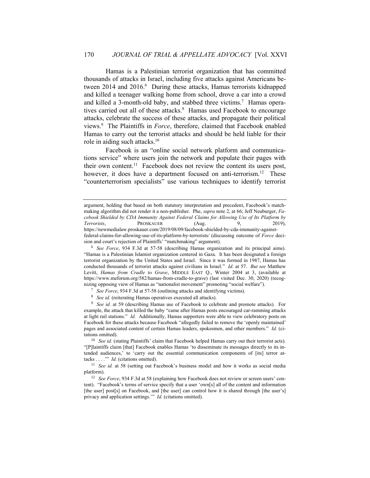Hamas is a Palestinian terrorist organization that has committed thousands of attacks in Israel, including five attacks against Americans between 2014 and 2016.<sup>6</sup> During these attacks, Hamas terrorists kidnapped and killed a teenager walking home from school, drove a car into a crowd and killed a 3-month-old baby, and stabbed three victims.<sup>7</sup> Hamas operatives carried out all of these attacks.<sup>8</sup> Hamas used Facebook to encourage attacks, celebrate the success of these attacks, and propagate their political views. 9 The Plaintiffs in *Force*, therefore, claimed that Facebook enabled Hamas to carry out the terrorist attacks and should be held liable for their role in aiding such attacks.<sup>10</sup>

Facebook is an "online social network platform and communications service" where users join the network and populate their pages with their own content.<sup>11</sup> Facebook does not review the content its users post, however, it does have a department focused on anti-terrorism.<sup>12</sup> These "counterterrorism specialists" use various techniques to identify terrorist

argument, holding that based on both statutory interpretation and precedent, Facebook's matchmaking algorithm did not render it a non-publisher. Phe, *supra* note 2, at 66; Jeff Neuburger, *Facebook Shielded by CDA Immunity Against Federal Claims for Allowing Use of Its Platform by*  **PROSKAUER** (Aug. 9, 2019), https://newmedialaw.proskauer.com/2019/08/09/facebook-shielded-by-cda-immunity-againstfederal-claims-for-allowing-use-of-its-platform-by-terrorists/ (discussing outcome of *Force* decision and court's rejection of Plaintiffs' "matchmaking" argument).

<sup>6</sup> *See Force*, 934 F.3d at 57-58 (describing Hamas organization and its principal aims). "Hamas is a Palestinian Islamist organization centered in Gaza. It has been designated a foreign terrorist organization by the United States and Israel. Since it was formed in 1987, Hamas has conducted thousands of terrorist attacks against civilians in Israel." *Id.* at 57. *But see* Matthew Levitt, *Hamas from Cradle to Grave*, MIDDLE EAST Q., Winter 2004 at 3, (available at https://www.meforum.org/582/hamas-from-cradle-to-grave) (last visited Dec. 30, 2020) (recognizing opposing view of Hamas as "nationalist movement" promoting "social welfare").

<sup>7</sup> *See Force*, 934 F.3d at 57-58 (outlining attacks and identifying victims).

<sup>&</sup>lt;sup>8</sup> *See id.* (reiterating Hamas operatives executed all attacks).

<sup>9</sup> *See id.* at 59 (describing Hamas use of Facebook to celebrate and promote attacks). For example, the attack that killed the baby "came after Hamas posts encouraged car-ramming attacks at light rail stations." *Id.* Additionally, Hamas supporters were able to view celebratory posts on Facebook for these attacks because Facebook "allegedly failed to remove the 'openly maintained' pages and associated content of certain Hamas leaders, spokesmen, and other members." *Id.* (citations omitted).

<sup>&</sup>lt;sup>10</sup> *See id.* (stating Plaintiffs' claim that Facebook helped Hamas carry out their terrorist acts). "[P]laintiffs claim [that] Facebook enables Hamas 'to disseminate its messages directly to its intended audiences,' to 'carry out the essential communication components of [its] terror attacks . . . .'" *Id.* (citations omitted).

<sup>&</sup>lt;sup>11</sup> *See id.* at 58 (setting out Facebook's business model and how it works as social media platform).

<sup>&</sup>lt;sup>12</sup> *See Force*, 934 F.3d at 58 (explaining how Facebook does not review or screen users' content). "Facebook's terms of service specify that a user 'own[s] all of the content and information [the user] post[s] on Facebook, and [the user] can control how it is shared through [the user's] privacy and application settings.'" *Id.* (citations omitted).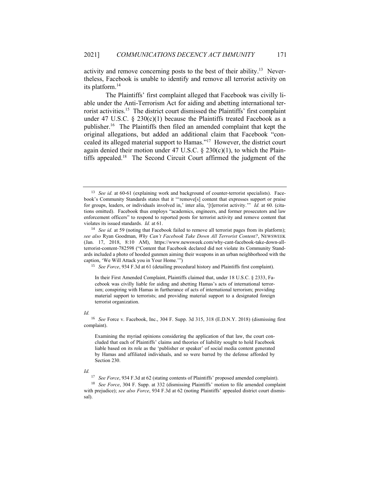activity and remove concerning posts to the best of their ability.<sup>13</sup> Nevertheless, Facebook is unable to identify and remove all terrorist activity on its platform. 14

The Plaintiffs' first complaint alleged that Facebook was civilly liable under the Anti-Terrorism Act for aiding and abetting international terrorist activities. 15 The district court dismissed the Plaintiffs' first complaint under 47 U.S.C. § 230(c)(1) because the Plaintiffs treated Facebook as a publisher.<sup>16</sup> The Plaintiffs then filed an amended complaint that kept the original allegations, but added an additional claim that Facebook "concealed its alleged material support to Hamas." 17 However, the district court again denied their motion under 47 U.S.C.  $\S 230(c)(1)$ , to which the Plaintiffs appealed. 18 The Second Circuit Court affirmed the judgment of the

<sup>15</sup> *See Force*, 934 F.3d at 61 (detailing procedural history and Plaintiffs first complaint).

In their First Amended Complaint, Plaintiffs claimed that, under 18 U.S.C. § 2333, Facebook was civilly liable for aiding and abetting Hamas's acts of international terrorism; conspiring with Hamas in furtherance of acts of international terrorism; providing material support to terrorists; and providing material support to a designated foreign terrorist organization.

#### *Id.*

<sup>16</sup> *See* Force v. Facebook, Inc., 304 F. Supp. 3d 315, 318 (E.D.N.Y. 2018) (dismissing first complaint).

Examining the myriad opinions considering the application of that law, the court concluded that each of Plaintiffs' claims and theories of liability sought to hold Facebook liable based on its role as the 'publisher or speaker' of social media content generated by Hamas and affiliated individuals, and so were barred by the defense afforded by Section 230.

#### *Id.*

<sup>17</sup> *See Force*, 934 F.3d at 62 (stating contents of Plaintiffs' proposed amended complaint).

<sup>18</sup> *See Force*, 304 F. Supp. at 332 (dismissing Plaintiffs' motion to file amended complaint with prejudice); *see also Force*, 934 F.3d at 62 (noting Plaintiffs' appealed district court dismissal).

<sup>&</sup>lt;sup>13</sup> *See id.* at 60-61 (explaining work and background of counter-terrorist specialists). Facebook's Community Standards states that it "'remove[s] content that expresses support or praise for groups, leaders, or individuals involved in,' inter alia, '[t]errorist activity.'" *Id.* at 60. (citations omitted). Facebook thus employs "academics, engineers, and former prosecutors and law enforcement officers" to respond to reported posts for terrorist activity and remove content that violates its issued standards. *Id.* at 61.

<sup>&</sup>lt;sup>14</sup> *See id.* at 59 (noting that Facebook failed to remove all terrorist pages from its platform); *see also* Ryan Goodman, *Why Can't Facebook Take Down All Terrorist Content?*, NEWSWEEK (Jan. 17, 2018, 8:10 AM), https://www.newsweek.com/why-cant-facebook-take-down-allterrorist-content-782598 ("Content that Facebook declared did not violate its Community Standards included a photo of hooded gunmen aiming their weapons in an urban neighborhood with the caption, 'We Will Attack you in Your Home.'")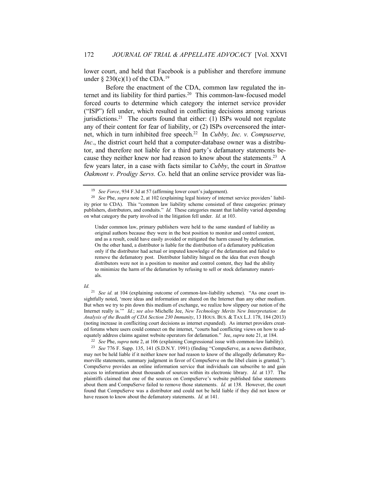lower court, and held that Facebook is a publisher and therefore immune under  $\S 230(c)(1)$  of the CDA.<sup>19</sup>

Before the enactment of the CDA, common law regulated the internet and its liability for third parties. 20 This common-law-focused model forced courts to determine which category the internet service provider ("ISP") fell under, which resulted in conflicting decisions among various jurisdictions.<sup>21</sup> The courts found that either: (1) ISPs would not regulate any of their content for fear of liability, or (2) ISPs overcensored the internet, which in turn inhibited free speech.<sup>22</sup> In *Cubby, Inc. v. Compuserve, Inc*., the district court held that a computer-database owner was a distributor, and therefore not liable for a third party's defamatory statements because they neither knew nor had reason to know about the statements.<sup>23</sup> A few years later, in a case with facts similar to *Cubby*, the court in *Stratton Oakmont v. Prodigy Servs. Co.* held that an online service provider was lia-

Under common law, primary publishers were held to the same standard of liability as original authors because they were in the best position to monitor and control content, and as a result, could have easily avoided or mitigated the harm caused by defamation. On the other hand, a distributor is liable for the distribution of a defamatory publication only if the distributor had actual or imputed knowledge of the defamation and failed to remove the defamatory post. Distributor liability hinged on the idea that even though distributors were not in a position to monitor and control content, they had the ability to minimize the harm of the defamation by refusing to sell or stock defamatory materials.

#### *Id.*

<sup>21</sup> *See id.* at 104 (explaining outcome of common-law-liability scheme). "As one court insightfully noted, 'more ideas and information are shared on the Internet than any other medium. But when we try to pin down this medium of exchange, we realize how slippery our notion of the Internet really is.'" *Id.*; *see also* Michelle Jee, *New Technology Merits New Interpretation: An Analysis of the Beadth of CDA Section 230 Immunity*, 13 HOUS. BUS. & TAX L.J. 178, 184 (2013) (noting increase in confliciting court decisions as internet expanded). As internet providers created forums where users could connect on the internet, "courts had conflicting views on how to adequately address claims against website operators for defamation." Jee, *supra* note 21, at 184.

<sup>22</sup> *See* Phe, *supra* note 2, at 106 (explaining Congressional issue with common-law liability).

<sup>23</sup> *See* 776 F. Supp. 135, 141 (S.D.N.Y. 1991) (finding "CompuServe, as a news distributor, may not be held liable if it neither knew nor had reason to know of the allegedly defamatory Rumorville statements, summary judgment in favor of CompuServe on the libel claim is granted."). CompuServe provides an online information service that individuals can subscribe to and gain access to information about thousands of sources within its electronic library. *Id.* at 137. The plaintiffs claimed that one of the sources on CompuServe's website published false statements about them and CompuServe failed to remove those statements. *Id.* at 138. However, the court found that CompuServe was a distributor and could not be held liable if they did not know or have reason to know about the defamatory statements. *Id.* at 141.

<sup>19</sup> *See Force*, 934 F.3d at 57 (affirming lower court's judgement).

<sup>20</sup> *See* Phe, *supra* note 2, at 102 (explaining legal history of internet service providers' liability prior to CDA). This "common law liability scheme consisted of three categories: primary publishers, distributors, and conduits." *Id.* These categories meant that liability varied depending on what category the party involved in the litigation fell under. *Id.* at 103.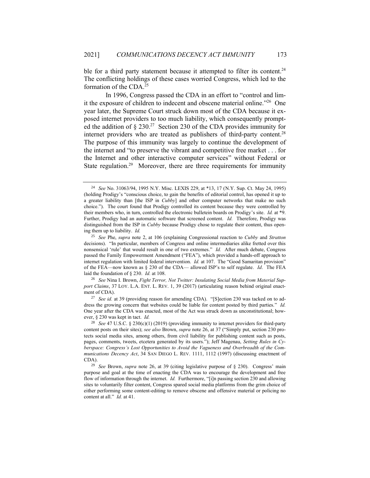ble for a third party statement because it attempted to filter its content.<sup>24</sup> The conflicting holdings of these cases worried Congress, which led to the formation of the CDA.<sup>25</sup>

In 1996, Congress passed the CDA in an effort to "control and limit the exposure of children to indecent and obscene material online." 26 One year later, the Supreme Court struck down most of the CDA because it exposed internet providers to too much liability, which consequently prompted the addition of  $\S 230$ .<sup>27</sup> Section 230 of the CDA provides immunity for internet providers who are treated as publishers of third-party content. 28 The purpose of this immunity was largely to continue the development of the internet and "to preserve the vibrant and competitive free market . . . for the Internet and other interactive computer services" without Federal or State regulation.<sup>29</sup> Moreover, there are three requirements for immunity

<sup>26</sup> *See* Nina I. Brown, *Fight Terror, Not Twitter: Insulating Social Media from Material Support Claims*, 37 LOY. L.A. ENT. L. REV. 1, 39 (2017) (articulating reason behind original enactment of CDA).

<sup>27</sup> *See id.* at 39 (providing reason for amending CDA). "[S]ection 230 was tacked on to address the growing concern that websites could be liable for content posted by third parties." *Id.*  One year after the CDA was enacted, most of the Act was struck down as unconstitutional; however, § 230 was kept in tact. *Id.*

<sup>24</sup> *See* No. 31063/94, 1995 N.Y. Misc. LEXIS 229, at \*13, 17 (N.Y. Sup. Ct. May 24, 1995) (holding Prodigy's "conscious choice, to gain the benefits of editorial control, has opened it up to a greater liability than [the ISP in *Cubby*] and other computer networks that make no such choice."). The court found that Prodigy controlled its content because they were controlled by their members who, in turn, controlled the electronic bulletein boards on Prodigy's site. *Id.* at \*9. Further, Prodigy had an automatic software that screened content. *Id.* Therefore, Prodigy was distinguished from the ISP in *Cubby* because Prodigy chose to regulate their content, thus opening them up to liability. *Id.*

<sup>25</sup> *See* Phe, *supra* note 2, at 106 (explaining Congressional reaction to *Cubby* and *Stratton* decisions). "In particular, members of Congress and online intermediaries alike fretted over this nonsensical 'rule' that would result in one of two extremes." *Id.* After much debate, Congress passed the Family Empowerment Amendment ("FEA"), which provided a hands-off approach to internet regulation with limited federal intervention. *Id.* at 107. The "Good Samaritan provision" of the FEA—now known as § 230 of the CDA— allowed ISP's to self regulate. *Id*. The FEA laid the foundation of § 230. *Id.* at 108.

<sup>28</sup> *See* 47 U.S.C. § 230(c)(1) (2019) (providing immunity to internet providers for third-party content posts on their sites); *see also* Brown, *supra* note 26, at 37 ("Simply put, section 230 protects social media sites, among others, from civil liability for publishing content such as posts, pages, comments, tweets, etcetera generated by its users."); Jeff Magenau, *Setting Rules in Cyberspace: Congress's Lost Opportunities to Avoid the Vagueness and Overbreadth of the Communications Decency Act*, 34 SAN DIEGO L. REV. 1111, 1112 (1997) (discussing enactment of CDA).

<sup>29</sup> *See* Brown, *supra* note 26, at 39 (citing legislative purpose of § 230). Congress' main purpose and goal at the time of enacting the CDA was to encourage the development and free flow of information through the internet. *Id.* Furthermore, "[i]n passing section 230 and allowing sites to voluntarily filter content, Congress spared social media platforms from the grim choice of either performing some content-editing to remove obscene and offensive material or policing no content at all." *Id.* at 41.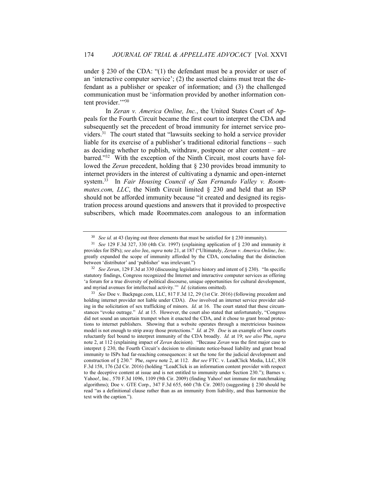under § 230 of the CDA: "(1) the defendant must be a provider or user of an 'interactive computer service'; (2) the asserted claims must treat the defendant as a publisher or speaker of information; and (3) the challenged communication must be 'information provided by another information content provider."<sup>30</sup>

In *Zeran v. America Online, Inc.*, the United States Court of Appeals for the Fourth Circuit became the first court to interpret the CDA and subsequently set the precedent of broad immunity for internet service providers.<sup>31</sup> The court stated that "lawsuits seeking to hold a service provider liable for its exercise of a publisher's traditional editorial functions – such as deciding whether to publish, withdraw, postpone or alter content – are barred."<sup>32</sup> With the exception of the Ninth Circuit, most courts have followed the *Zeran* precedent, holding that § 230 provides broad immunity to internet providers in the interest of cultivating a dynamic and open-internet system.<sup>33</sup> In *Fair Housing Council of San Fernando Valley v. Roommates.com, LLC*, the Ninth Circuit limited § 230 and held that an ISP should not be afforded immunity because "it created and designed its registration process around questions and answers that it provided to prospective subscribers, which made Roommates.com analogous to an information

 $30$  *See id.* at 43 (laying out three elements that must be satisfied for  $\S$  230 immunity).

<sup>31</sup> *See* 129 F.3d 327, 330 (4th Cir. 1997) (explaining application of § 230 and immunity it provides for ISPs); *see also* Jee, *supra* note 21, at 187 ("Ultimately, *Zeran v. America Online*, *Inc*. greatly expanded the scope of immunity afforded by the CDA, concluding that the distinction between 'distributor' and 'publisher' was irrelevant.")

<sup>32</sup> *See Zeran*, 129 F.3d at 330 (discussing legislative history and intent of § 230). "In specific statutory findings, Congress recognized the Internet and interactive computer services as offering 'a forum for a true diversity of political discourse, unique opportunities for cultural development, and myriad avenues for intellectual activity.'" *Id.* (citations omitted).

<sup>33</sup> *See* Doe v. Backpage.com, LLC, 817 F.3d 12, 29 (1st Cir. 2016) (following precedent and holding internet provider not liable under CDA). *Doe* involved an internet service provider aiding in the solicitation of sex trafficking of minors. *Id.* at 16. The court stated that these circumstances "evoke outrage." *Id.* at 15. However, the court also stated that unfortunately, "Congress did not sound an uncertain trumpet when it enacted the CDA, and it chose to grant broad protections to internet publishers. Showing that a website operates through a meretricious business model is not enough to strip away those protections." *Id.* at 29. *Doe* is an example of how courts reluctantly feel bound to interpret immunity of the CDA broadly. *Id.* at 19; s*ee also* Phe, *supra* note 2, at 112 (explaining impact of *Zeran* decision). "Because *Zeran* was the first major case to interpret § 230, the Fourth Circuit's decision to eliminate notice-based liability and grant broad immunity to ISPs had far-reaching consequences: it set the tone for the judicial development and construction of § 230." Phe, *supra* note 2, at 112. *But see* FTC. v. LeadClick Media, LLC, 838 F.3d 158, 176 (2d Cir. 2016) (holding "LeadClick is an information content provider with respect to the deceptive content at issue and is not entitled to immunity under Section 230."); Barnes v. Yahoo!, Inc*.,* 570 F.3d 1096, 1109 (9th Cir. 2009) (finding Yahoo! not immune for matchmaking algorithms); Doe v. GTE Corp., 347 F.3d 655, 660 (7th Cir. 2003) (suggesting § 230 should be read "as a definitional clause rather than as an immunity from liability, and thus harmonize the text with the caption.").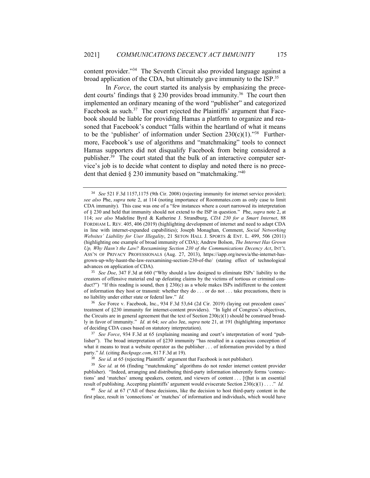content provider." 34 The Seventh Circuit also provided language against a broad application of the CDA, but ultimately gave immunity to the ISP.<sup>35</sup>

In *Force*, the court started its analysis by emphasizing the precedent courts' findings that  $\S 230$  provides broad immunity.<sup>36</sup> The court then implemented an ordinary meaning of the word "publisher" and categorized Facebook as such.<sup>37</sup> The court rejected the Plaintiffs' argument that Facebook should be liable for providing Hamas a platform to organize and reasoned that Facebook's conduct "falls within the heartland of what it means to be the 'publisher' of information under Section  $230(c)(1)$ ."<sup>38</sup> Furthermore, Facebook's use of algorithms and "matchmaking" tools to connect Hamas supporters did not disqualify Facebook from being considered a publisher.<sup>39</sup> The court stated that the bulk of an interactive computer service's job is to decide what content to display and noted there is no precedent that denied § 230 immunity based on "matchmaking."<sup>40</sup>

<sup>34</sup> *See* 521 F.3d 1157,1175 (9th Cir. 2008) (rejecting immunity for internet service provider); *see also* Phe, *supra* note 2, at 114 (noting importance of Roommates.com as only case to limit CDA immunity). This case was one of a "few instances where a court narrowed its interpretation of § 230 and held that immunity should not extend to the ISP in question." Phe, *supra* note 2, at 114; *see also* Madeline Byrd & Katherine J. Strandburg, *CDA 230 for a Smart Internet*, 88 FORDHAM L. REV. 405, 406 (2019) (highlighting development of internet and need to adapt CDA in line with internet-expanded capabilities); Joseph Monaghan, Comment, *Social Networking Websites' Liability for User Illegality*, 21 SETON HALL J. SPORTS & ENT. L. 499, 506 (2011) (highlighting one example of broad immunity of CDA); Andrew Bolson, *The Internet Has Grown Up, Why Hasn't the Law? Reexamining Section 230 of the Communications Decency Act*, INT'L ASS'N OF PRIVACY PROFESSIONALS (Aug. 27, 2013), https://iapp.org/news/a/the-internet-hasgrown-up-why-hasnt-the-law-reexamining-section-230-of-the/ (stating effect of technological advances on application of CDA).

<sup>35</sup> *See Doe*, 347 F.3d at 660 ("Why should a law designed to eliminate ISPs' liability to the creators of offensive material end up defeating claims by the victims of tortious or criminal conduct?") "If this reading is sound, then  $\S$  230(c) as a whole makes ISPs indifferent to the content of information they host or transmit: whether they do . . . or do not . . . take precautions, there is no liability under either state or federal law." *Id.*

<sup>36</sup> *See* Force v. Facebook, Inc., 934 F.3d 53,64 (2d Cir. 2019) (laying out precedent cases' treatment of §230 immunity for internet-content providers). "In light of Congress's objectives, the Circuits are in general agreement that the text of Section 230(c)(1) should be construed broadly in favor of immunity." *Id.* at 64; *see also* Jee, *supra* note 21, at 191 (highlighting importance of deciding CDA cases based on statutory interpretation).

<sup>37</sup> *See Force*, 934 F.3d at 65 (explaining meaning and court's interpretation of word "publisher"). The broad interpretation of §230 immunity "has resulted in a capacious conception of what it means to treat a website operator as the publisher . . . of information provided by a third party." *Id.* (citing *Backpage.com*, 817 F.3d at 19).

<sup>38</sup> *See id.* at 65 (rejecting Plaintiffs' argument that Facebook is not publisher).

<sup>&</sup>lt;sup>39</sup> *See id.* at 66 (finding "matchmaking" algorithms do not render internet content provider publisher). "Indeed, arranging and distributing third-party information inherently forms 'connections' and 'matches' among speakers, content, and viewers of content . . . [t]hat is an essential result of publishing. Accepting plaintiffs' argument would eviscerate Section 230(c)(1) . . . ." *Id.*

<sup>40</sup> *See id.* at 67 ("All of these decisions, like the decision to host third-party content in the first place, result in 'connections' or 'matches' of information and individuals, which would have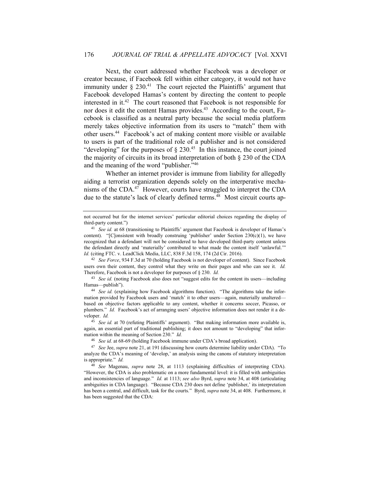Next, the court addressed whether Facebook was a developer or creator because, if Facebook fell within either category, it would not have immunity under  $\S 230$ .<sup>41</sup> The court rejected the Plaintiffs' argument that Facebook developed Hamas's content by directing the content to people interested in it.<sup>42</sup> The court reasoned that Facebook is not responsible for nor does it edit the content Hamas provides. 43 According to the court, Facebook is classified as a neutral party because the social media platform merely takes objective information from its users to "match" them with other users.<sup>44</sup> Facebook's act of making content more visible or available to users is part of the traditional role of a publisher and is not considered "developing" for the purposes of  $\S 230<sup>45</sup>$  In this instance, the court joined the majority of circuits in its broad interpretation of both § 230 of the CDA and the meaning of the word "publisher." 46

Whether an internet provider is immune from liability for allegedly aiding a terrorist organization depends solely on the interperative mechanisms of the CDA.<sup>47</sup> However, courts have struggled to interpret the CDA due to the statute's lack of clearly defined terms.<sup>48</sup> Most circuit courts ap-

<sup>42</sup> *See Force*, 934 F.3d at 70 (holding Facebook is not developer of content). Since Facebook users own their content, they control what they write on their pages and who can see it. *Id.*  Therefore, Facebook is not a developer for purposes of § 230. *Id.*

<sup>43</sup> *See id.* (noting Facebook also does not "suggest edits for the content its users—including Hamas—publish").

<sup>44</sup> *See id.* (explaining how Facebook algorithms function). "The algorithms take the information provided by Facebook users and 'match' it to other users—again, materially unaltered based on objective factors applicable to any content, whether it concerns soccer, Picasso, or plumbers." *Id.* Facebook's act of arranging users' objective information does not render it a developer. *Id.*

<sup>45</sup> *See id.* at 70 (refuting Plaintiffs' argument). "But making information more available is, again, an essential part of traditional publishing; it does not amount to "developing" that information within the meaning of Section 230." *Id.*

<sup>46</sup> *See id.* at 68-69 (holding Facebook immune under CDA's broad application).

not occurred but for the internet services' particular editorial choices regarding the display of third-party content.")

<sup>41</sup> *See id.* at 68 (transitioning to Plaintiffs' argument that Facebook is developer of Hamas's content). "[C]onsistent with broadly construing 'publisher' under Section 230(c)(1), we have recognized that a defendant will not be considered to have developed third-party content unless the defendant directly and 'materially' contributed to what made the content itself 'unlawful.'" *Id.* (citing FTC. v. LeadClick Media, LLC, 838 F.3d 158, 174 (2d Cir. 2016).

<sup>47</sup> *See* Jee, *supra* note 21, at 191 (discussing how courts determine liability under CDA). "To analyze the CDA's meaning of 'develop,' an analysis using the canons of statutory interpretation is appropriate." *Id.*

<sup>48</sup> *See* Magenau, *supra* note 28, at 1113 (explaining difficulties of interpreting CDA). "However, the CDA is also problematic on a more fundamental level: it is filled with ambiguities and inconsistencies of language." *Id.* at 1113; *see also* Byrd, *supra* note 34, at 408 (articulating ambiguities in CDA language). "Because CDA 230 does not define 'publisher,' its interpretation has been a central, and difficult, task for the courts." Byrd, *supra* note 34, at 408. Furthermore, it has been suggested that the CDA: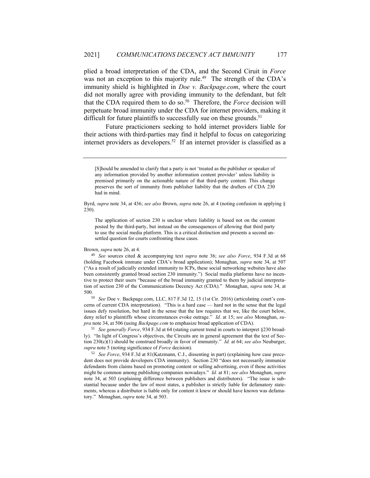plied a broad interpretation of the CDA, and the Second Ciruit in *Force*  was not an exception to this majority rule.<sup>49</sup> The strength of the CDA's immunity shield is highlighted in *Doe v. Backpage.com*, where the court did not morally agree with providing immunity to the defendant, but felt that the CDA required them to do so. 50 Therefore, the *Force* decision will perpetuate broad immunity under the CDA for internet providers, making it difficult for future plaintiffs to successfully sue on these grounds.<sup>51</sup>

Future practicioners seeking to hold internet providers liable for their actions with third-parties may find it helpful to focus on categorizing internet providers as developers. 52 If an internet provider is classified as a

Byrd, *supra* note 34, at 436; *see also* Brown, *supra* note 26, at 4 (noting confusion in applying § 230).

The application of section 230 is unclear where liability is based not on the content posted by the third-party, but instead on the consequences of allowing that third party to use the social media platform. This is a critical distinction and presents a second unsettled question for courts confronting these cases.

Brown, *supra* note 26, at 4.

<sup>49</sup> *See* sources cited & accompanying text *supra* note 36; *see also Force*, 934 F.3d at 68 (holding Facebook immune under CDA's broad application); Monaghan, *supra* note 34, at 507 ("As a result of judicially extended immunity to ICPs, these social networking websites have also been consistently granted broad section 230 immunity.") Social media platforms have no incentive to protect their users "because of the broad immunity granted to them by judicial interpretation of section 230 of the Communications Decency Act (CDA)." Monaghan, *supra* note 34, at 500.

<sup>50</sup> *See* Doe v. Backpage.com, LLC, 817 F.3d 12, 15 (1st Cir. 2016) (articulating court's concerns of current CDA interpretation). "This is a hard case — hard not in the sense that the legal issues defy resolution, but hard in the sense that the law requires that we, like the court below, deny relief to plaintiffs whose circumstances evoke outrage." *Id.* at 15; *see also* Monaghan, *supra* note 34, at 506 (using *Backpage.com* to emphasize broad application of CDA).

<sup>51</sup> *See generally Force*, 934 F.3d at 64 (stating current trend in courts to interpret §230 broadly). "In light of Congress's objectives, the Circuits are in general agreement that the text of Section 230(c)(1) should be construed broadly in favor of immunity." *Id.* at 64; *see also* Neuburger, *supra* note 5 (noting significance of *Force* decision).

<sup>52</sup> *See Force*, 934 F.3d at 81(Katzmann, C.J., dissenting in part) (explaining how case precedent does not provide developers CDA immunity). Section 230 "does not necessarily immunize defendants from claims based on promoting content or selling advertising, even if those activities might be common among publishing companies nowadays." *Id.* at 81; *see also* Monaghan, *supra* note 34, at 503 (explaining difference between publishers and distributors). "The issue is substantial because under the law of most states, a publisher is strictly liable for defamatory statements, whereas a distributor is liable only for content it knew or should have known was defamatory." Monaghan, *supra* note 34, at 503.

<sup>[</sup>S]hould be amended to clarify that a party is not 'treated as the publisher or speaker of any information provided by another information content provider' unless liability is premised primarily on the actionable nature of that third-party content. This change preserves the sort of immunity from publisher liability that the drafters of CDA 230 had in mind.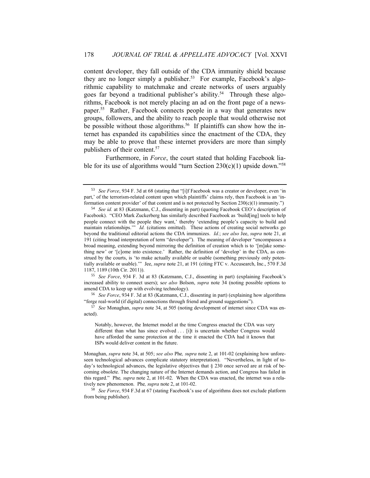content developer, they fall outside of the CDA immunity shield because they are no longer simply a publisher. 53 For example, Facebook's algorithmic capability to matchmake and create networks of users arguably goes far beyond a traditional publisher's ability.<sup>54</sup> Through these algorithms, Facebook is not merely placing an ad on the front page of a newspaper. 55 Rather, Facebook connects people in a way that generates new groups, followers, and the ability to reach people that would otherwise not be possible without those algorithms.<sup>56</sup> If plaintiffs can show how the internet has expanded its capabilities since the enactment of the CDA, they may be able to prove that these internet providers are more than simply publishers of their content.<sup>57</sup>

Furthermore, in *Force*, the court stated that holding Facebook liable for its use of algorithms would "turn Section  $230(c)(1)$  upside down."<sup>58</sup>

<sup>55</sup> *See Force*, 934 F. 3d at 83 (Katzmann, C.J., dissenting in part) (explaining Facebook's increased ability to connect users); s*ee also* Bolson, *supra* note 34 (noting possible options to amend CDA to keep up with evolving technology).

<sup>56</sup> *See Force*, 934 F. 3d at 83 (Katzmann, C.J., dissenting in part) (explaining how algorithms "forge real-world (if digital) connections through friend and ground suggestions").

<sup>57</sup> *See* Monaghan, *supra* note 34, at 505 (noting development of internet since CDA was enacted).

<sup>53</sup> *See Force*, 934 F. 3d at 68 (stating that "[i]f Facebook was a creator or developer, even 'in part,' of the terrorism-related content upon which plaintiffs' claims rely, then Facebook is an 'information content provider' of that content and is not protected by Section 230(c)(1) immunity.")

<sup>54</sup> *See id.* at 83 (Katzmann, C.J., dissenting in part) (quoting Facebook CEO's description of Facebook). "CEO Mark Zuckerberg has similarly described Facebook as 'build[ing] tools to help people connect with the people they want,' thereby 'extending people's capacity to build and maintain relationships." *Id.* (citations omitted). These actions of creating social networks go beyond the traditional editorial actions the CDA immunizes. *Id.*; *see also* Jee, *supra* note 21, at 191 (citing broad interpretation of term "developer"). The meaning of developer "encompasses a broad meaning, extending beyond mirroring the definition of creation which is to '[m]ake something new' or '[c]ome into existence.' Rather, the definition of 'develop' in the CDA, as construed by the courts, is 'to make actually available or usable (something previously only potentially available or usable).'" Jee, *supra* note 21, at 191 (citing FTC v. Accusearch, Inc., 570 F.3d 1187, 1189 (10th Cir. 2011)).

Notably, however, the Internet model at the time Congress enacted the CDA was very different than what has since evolved . . . [i]t is uncertain whether Congress would have afforded the same protection at the time it enacted the CDA had it known that ISPs would deliver content in the future.

Monaghan, *supra* note 34, at 505; *see also* Phe*, supra* note 2, at 101-02 (explaining how unforeseen technological advances complicate statutory interpretation). "Nevertheless, in light of today's technological advances, the legislative objectives that § 230 once served are at risk of becoming obsolete. The changing nature of the Internet demands action, and Congress has failed in this regard." Phe*, supra* note 2, at 101-02. When the CDA was enacted, the internet was a relatively new phenomenon. Phe*, supra* note 2, at 101-02.

<sup>58</sup> *See Force*, 934 F.3d at 67 (stating Facebook's use of algorithms does not exclude platform from being publisher).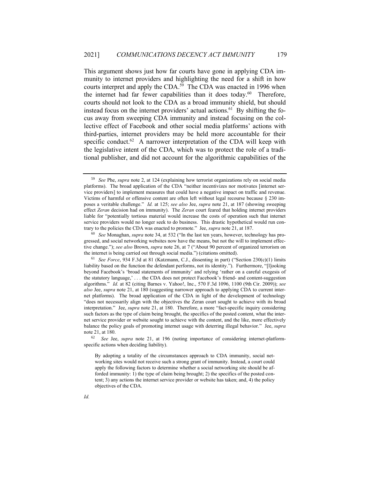This argument shows just how far courts have gone in applying CDA immunity to internet providers and highlighting the need for a shift in how courts interpret and apply the CDA.<sup>59</sup> The CDA was enacted in 1996 when the internet had far fewer capabilities than it does today. 60 Therefore, courts should not look to the CDA as a broad immunity shield, but should instead focus on the internet providers' actual actions. 61 By shifting the focus away from sweeping CDA immunity and instead focusing on the collective effect of Facebook and other social media platforms' actions with third-parties, internet providers may be held more accountable for their specific conduct.<sup>62</sup> A narrower interpretation of the CDA will keep with the legislative intent of the CDA, which was to protect the role of a traditional publisher, and did not account for the algorithmic capabilities of the

<sup>62</sup> *See* Jee, *supra* note 21, at 196 (noting importance of considering internet-platformspecific actions when deciding liability).

By adopting a totality of the circumstances approach to CDA immunity, social networking sites would not receive such a strong grant of immunity. Instead, a court could apply the following factors to determine whether a social networking site should be afforded immunity: 1) the type of claim being brought; 2) the specifics of the posted content; 3) any actions the internet service provider or website has taken; and, 4) the policy objectives of the CDA.

<sup>59</sup> *See* Phe, *supra* note 2, at 124 (explaining how terrorist organizations rely on social media platforms). The broad application of the CDA "neither incentivizes nor motivates [internet service providers] to implement measures that could have a negative impact on traffic and revenue. Victims of harmful or offensive content are often left without legal recourse because § 230 imposes a veritable challenge." *Id.* at 125; *see also* Jee, *supra* note 21, at 187 (showing sweeping effect *Zeran* decision had on immunity). The *Zeran* court feared that holding internet providers liable for "potentially tortious material would increase the costs of operation such that internet service providers would no longer seek to do business. This drastic hypothetical would run contrary to the policies the CDA was enacted to promote." Jee, *supra* note 21, at 187.

<sup>60</sup> *See* Monaghan, *supra* note 34, at 532 ("In the last ten years, however, technology has progressed, and social networking websites now have the means, but not the will to implement effective change."); *see also* Brown, *supra* note 26, at 7 ("About 90 percent of organized terrorism on the internet is being carried out through social media.") (citations omitted).

<sup>61</sup> *See Force*, 934 F.3d at 81 (Katzmann, C.J., dissenting in part) ("Section 230(c)(1) limits liability based on the function the defendant performs, not its identity."). Furthermore, "[l]ooking beyond Facebook's 'broad statements of immunity' and relying 'rather on a careful exegesis of the statutory language,' . . . the CDA does not protect Facebook's friend- and content-suggestion algorithms." *Id.* at 82 (citing Barnes v. Yahoo!, Inc., 570 F.3d 1096, 1100 (9th Cir. 2009)); *see also* Jee, *supra* note 21, at 180 (suggesting narrower approach to applying CDA to current internet platforms). The broad application of the CDA in light of the development of technology "does not necessarily align with the objectives the Zeran court sought to achieve with its broad interpretation." Jee, *supra* note 21, at 180. Therefore, a more "fact-specific inquiry considering such factors as the type of claim being brought, the specifics of the posted content, what the internet service provider or website sought to achieve with the content, and the like, more effectively balance the policy goals of promoting internet usage with deterring illegal behavior." Jee, *supra* note 21, at 180.